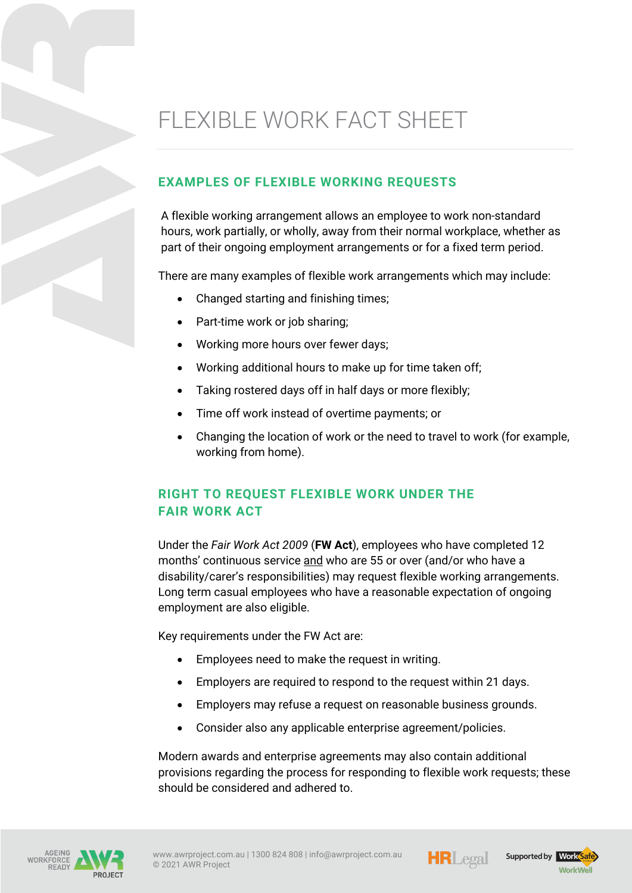# FLEXIBLE WORK FACT SHEET

### **EXAMPLES OF FLEXIBLE WORKING REQUESTS**

A flexible working arrangement allows an employee to work non-standard hours, work partially, or wholly, away from their normal workplace, whether as part of their ongoing employment arrangements or for a fixed term period.

There are many examples of flexible work arrangements which may include:

- Changed starting and finishing times;
- Part-time work or job sharing;
- Working more hours over fewer days;
- Working additional hours to make up for time taken off;
- Taking rostered days off in half days or more flexibly;
- Time off work instead of overtime payments; or
- Changing the location of work or the need to travel to work (for example, working from home).

# **RIGHT TO REQUEST FLEXIBLE WORK UNDER THE FAIR WORK ACT**

Under the *Fair Work Act 2009* (**FW Act**), employees who have completed 12 months' continuous service and who are 55 or over (and/or who have a disability/carer's responsibilities) may request flexible working arrangements. Long term casual employees who have a reasonable expectation of ongoing employment are also eligible.

Key requirements under the FW Act are:

- Employees need to make the request in writing.
- Employers are required to respond to the request within 21 days.
- Employers may refuse a request on reasonable business grounds.
- Consider also any applicable enterprise agreement/policies.

Modern awards and enterprise agreements may also contain additional provisions regarding the process for responding to flexible work requests; these should be considered and adhered to.